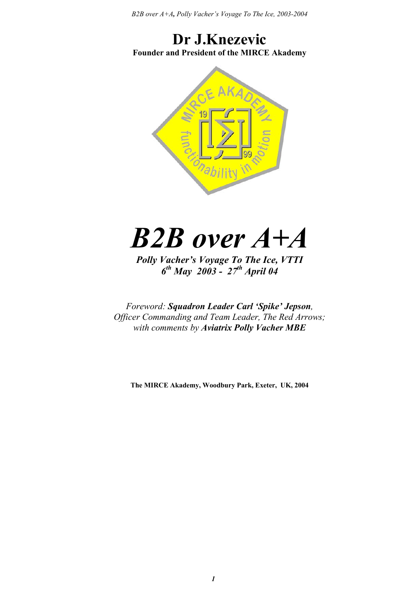*B2B over A+A, Polly Vacher's Voyage To The Ice, 2003-2004*

# **Dr J.Knezevic Founder and President of the MIRCE Akademy**



# *B2B over A+A*

*Polly Vacher's Voyage To The Ice, VTTI 6th May 2003 - 27th April 04* 

*Foreword: Squadron Leader Carl 'Spike' Jepson, Officer Commanding and Team Leader, The Red Arrows; with comments by Aviatrix Polly Vacher MBE*

**The MIRCE Akademy, Woodbury Park, Exeter, UK, 2004**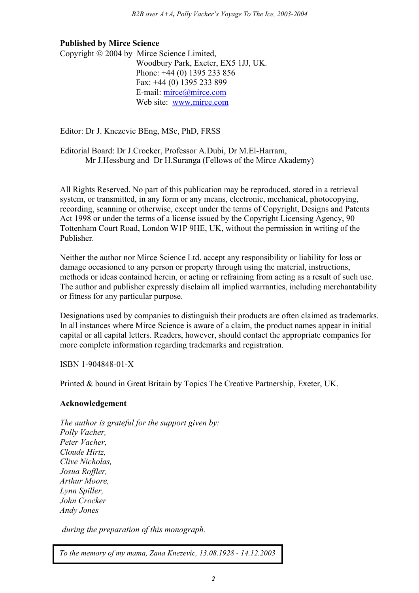#### **Published by Mirce Science**

Copyright  $\odot$  2004 by Mirce Science Limited. Woodbury Park, Exeter, EX5 1JJ, UK. Phone: +44 (0) 1395 233 856 Fax: +44 (0) 1395 233 899 E-mail: mirce@mirce.com Web site: www.mirce.com

Editor: Dr J. Knezevic BEng, MSc, PhD, FRSS

Editorial Board: Dr J.Crocker, Professor A.Dubi, Dr M.El-Harram, Mr J.Hessburg and Dr H.Suranga (Fellows of the Mirce Akademy)

All Rights Reserved. No part of this publication may be reproduced, stored in a retrieval system, or transmitted, in any form or any means, electronic, mechanical, photocopying, recording, scanning or otherwise, except under the terms of Copyright, Designs and Patents Act 1998 or under the terms of a license issued by the Copyright Licensing Agency, 90 Tottenham Court Road, London W1P 9HE, UK, without the permission in writing of the Publisher.

Neither the author nor Mirce Science Ltd. accept any responsibility or liability for loss or damage occasioned to any person or property through using the material, instructions, methods or ideas contained herein, or acting or refraining from acting as a result of such use. The author and publisher expressly disclaim all implied warranties, including merchantability or fitness for any particular purpose.

Designations used by companies to distinguish their products are often claimed as trademarks. In all instances where Mirce Science is aware of a claim, the product names appear in initial capital or all capital letters. Readers, however, should contact the appropriate companies for more complete information regarding trademarks and registration.

ISBN 1-904848-01-X

Printed & bound in Great Britain by Topics The Creative Partnership, Exeter, UK.

#### **Acknowledgement**

*The author is grateful for the support given by: Polly Vacher, Peter Vacher, Cloude Hirtz, Clive Nicholas, Josua Roffler, Arthur Moore, Lynn Spiller, John Crocker Andy Jones* 

 *during the preparation of this monograph.* 

*To the memory of my mama, Zana Knezevic, 13.08.1928 - 14.12.2003*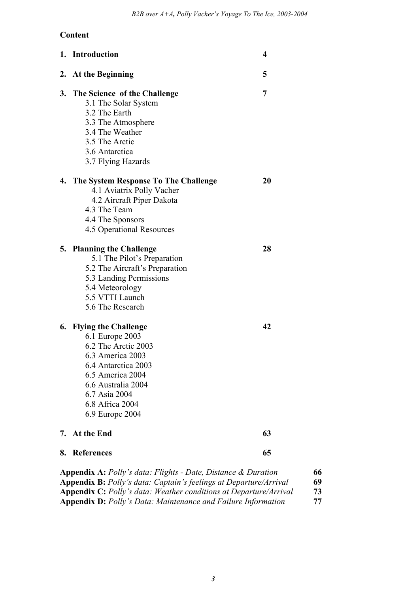# **Content**

|    | 1. Introduction                                                                                                                                                                                               | 4  |
|----|---------------------------------------------------------------------------------------------------------------------------------------------------------------------------------------------------------------|----|
|    | 2. At the Beginning                                                                                                                                                                                           | 5  |
| 3. | The Science of the Challenge<br>3.1 The Solar System<br>3.2 The Earth<br>3.3 The Atmosphere<br>3.4 The Weather<br>3.5 The Arctic<br>3.6 Antarctica<br>3.7 Flying Hazards                                      | 7  |
|    | 4. The System Response To The Challenge<br>4.1 Aviatrix Polly Vacher<br>4.2 Aircraft Piper Dakota<br>4.3 The Team<br>4.4 The Sponsors<br><b>4.5 Operational Resources</b>                                     | 20 |
|    | 5. Planning the Challenge<br>5.1 The Pilot's Preparation<br>5.2 The Aircraft's Preparation<br>5.3 Landing Permissions<br>5.4 Meteorology<br>5.5 VTTI Launch<br>5.6 The Research                               | 28 |
|    | 6. Flying the Challenge<br>6.1 Europe 2003<br>6.2 The Arctic 2003<br>6.3 America 2003<br>6.4 Antarctica 2003<br>6.5 America 2004<br>6.6 Australia 2004<br>6.7 Asia 2004<br>6.8 Africa 2004<br>6.9 Europe 2004 | 42 |
|    | 7. At the End                                                                                                                                                                                                 | 63 |
| 8. | <b>References</b>                                                                                                                                                                                             | 65 |
|    |                                                                                                                                                                                                               |    |

| <b>Appendix A:</b> Polly's data: Flights - Date, Distance & Duration     | 66  |
|--------------------------------------------------------------------------|-----|
| <b>Appendix B:</b> Polly's data: Captain's feelings at Departure/Arrival | -69 |
| <b>Appendix C:</b> Polly's data: Weather conditions at Departure/Arrival | 73  |
| <b>Appendix D:</b> Polly's Data: Maintenance and Failure Information     | 77  |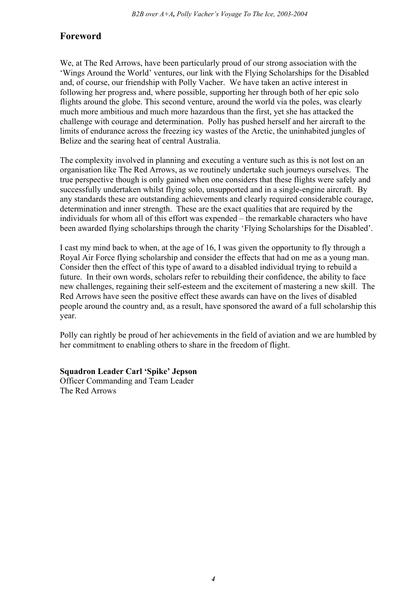# **Foreword**

We, at The Red Arrows, have been particularly proud of our strong association with the 'Wings Around the World' ventures, our link with the Flying Scholarships for the Disabled and, of course, our friendship with Polly Vacher. We have taken an active interest in following her progress and, where possible, supporting her through both of her epic solo flights around the globe. This second venture, around the world via the poles, was clearly much more ambitious and much more hazardous than the first, yet she has attacked the challenge with courage and determination. Polly has pushed herself and her aircraft to the limits of endurance across the freezing icy wastes of the Arctic, the uninhabited jungles of Belize and the searing heat of central Australia.

The complexity involved in planning and executing a venture such as this is not lost on an organisation like The Red Arrows, as we routinely undertake such journeys ourselves. The true perspective though is only gained when one considers that these flights were safely and successfully undertaken whilst flying solo, unsupported and in a single-engine aircraft. By any standards these are outstanding achievements and clearly required considerable courage, determination and inner strength. These are the exact qualities that are required by the individuals for whom all of this effort was expended – the remarkable characters who have been awarded flying scholarships through the charity 'Flying Scholarships for the Disabled'.

I cast my mind back to when, at the age of 16, I was given the opportunity to fly through a Royal Air Force flying scholarship and consider the effects that had on me as a young man. Consider then the effect of this type of award to a disabled individual trying to rebuild a future. In their own words, scholars refer to rebuilding their confidence, the ability to face new challenges, regaining their self-esteem and the excitement of mastering a new skill. The Red Arrows have seen the positive effect these awards can have on the lives of disabled people around the country and, as a result, have sponsored the award of a full scholarship this year.

Polly can rightly be proud of her achievements in the field of aviation and we are humbled by her commitment to enabling others to share in the freedom of flight.

**Squadron Leader Carl 'Spike' Jepson**  Officer Commanding and Team Leader The Red Arrows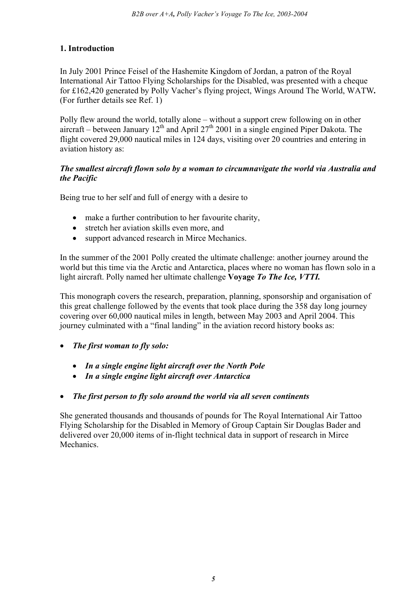### **1. Introduction**

In July 2001 Prince Feisel of the Hashemite Kingdom of Jordan, a patron of the Royal International Air Tattoo Flying Scholarships for the Disabled, was presented with a cheque for £162,420 generated by Polly Vacher's flying project, Wings Around The World, WATW*.*  (For further details see Ref. 1)

Polly flew around the world, totally alone – without a support crew following on in other aircraft – between January  $12<sup>th</sup>$  and April 27<sup>th</sup> 2001 in a single engined Piper Dakota. The flight covered 29,000 nautical miles in 124 days, visiting over 20 countries and entering in aviation history as:

#### *The smallest aircraft flown solo by a woman to circumnavigate the world via Australia and the Pacific*

Being true to her self and full of energy with a desire to

- make a further contribution to her favourite charity,
- stretch her aviation skills even more, and
- support advanced research in Mirce Mechanics.

In the summer of the 2001 Polly created the ultimate challenge: another journey around the world but this time via the Arctic and Antarctica, places where no woman has flown solo in a light aircraft. Polly named her ultimate challenge **Voyage** *To The Ice, VTTI.*

This monograph covers the research, preparation, planning, sponsorship and organisation of this great challenge followed by the events that took place during the 358 day long journey covering over 60,000 nautical miles in length, between May 2003 and April 2004. This journey culminated with a "final landing" in the aviation record history books as:

- *The first woman to fly solo:* 
	- *In a single engine light aircraft over the North Pole*
	- *In a single engine light aircraft over Antarctica*

#### • *The first person to fly solo around the world via all seven continents*

She generated thousands and thousands of pounds for The Royal International Air Tattoo Flying Scholarship for the Disabled in Memory of Group Captain Sir Douglas Bader and delivered over 20,000 items of in-flight technical data in support of research in Mirce Mechanics.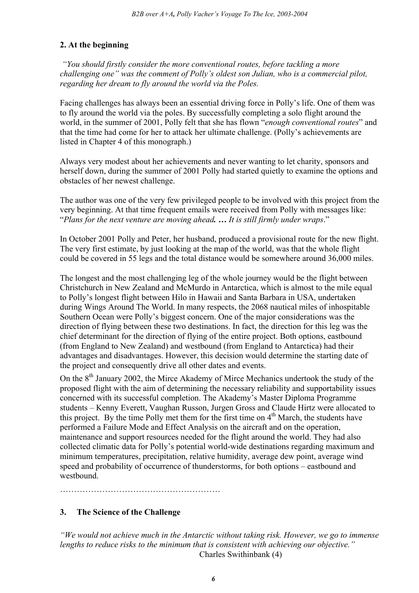# **2. At the beginning**

 *"You should firstly consider the more conventional routes, before tackling a more challenging one" was the comment of Polly's oldest son Julian, who is a commercial pilot, regarding her dream to fly around the world via the Poles.* 

Facing challenges has always been an essential driving force in Polly's life. One of them was to fly around the world via the poles. By successfully completing a solo flight around the world, in the summer of 2001, Polly felt that she has flown "*enough conventional routes*" and that the time had come for her to attack her ultimate challenge. (Polly's achievements are listed in Chapter 4 of this monograph.)

Always very modest about her achievements and never wanting to let charity, sponsors and herself down, during the summer of 2001 Polly had started quietly to examine the options and obstacles of her newest challenge.

The author was one of the very few privileged people to be involved with this project from the very beginning. At that time frequent emails were received from Polly with messages like: "*Plans for the next venture are moving ahead. … It is still firmly under wraps*."

In October 2001 Polly and Peter, her husband, produced a provisional route for the new flight. The very first estimate, by just looking at the map of the world, was that the whole flight could be covered in 55 legs and the total distance would be somewhere around 36,000 miles.

The longest and the most challenging leg of the whole journey would be the flight between Christchurch in New Zealand and McMurdo in Antarctica, which is almost to the mile equal to Polly's longest flight between Hilo in Hawaii and Santa Barbara in USA, undertaken during Wings Around The World. In many respects, the 2068 nautical miles of inhospitable Southern Ocean were Polly's biggest concern. One of the major considerations was the direction of flying between these two destinations. In fact, the direction for this leg was the chief determinant for the direction of flying of the entire project. Both options, eastbound (from England to New Zealand) and westbound (from England to Antarctica) had their advantages and disadvantages. However, this decision would determine the starting date of the project and consequently drive all other dates and events.

On the 8<sup>th</sup> January 2002, the Mirce Akademy of Mirce Mechanics undertook the study of the proposed flight with the aim of determining the necessary reliability and supportability issues concerned with its successful completion. The Akademy's Master Diploma Programme students – Kenny Everett, Vaughan Russon, Jurgen Gross and Claude Hirtz were allocated to this project. By the time Polly met them for the first time on  $4<sup>th</sup>$  March, the students have performed a Failure Mode and Effect Analysis on the aircraft and on the operation, maintenance and support resources needed for the flight around the world. They had also collected climatic data for Polly's potential world-wide destinations regarding maximum and minimum temperatures, precipitation, relative humidity, average dew point, average wind speed and probability of occurrence of thunderstorms, for both options – eastbound and westbound.

…………………………………………………

# **3. The Science of the Challenge**

*"We would not achieve much in the Antarctic without taking risk. However, we go to immense lengths to reduce risks to the minimum that is consistent with achieving our objective."* Charles Swithinbank (4)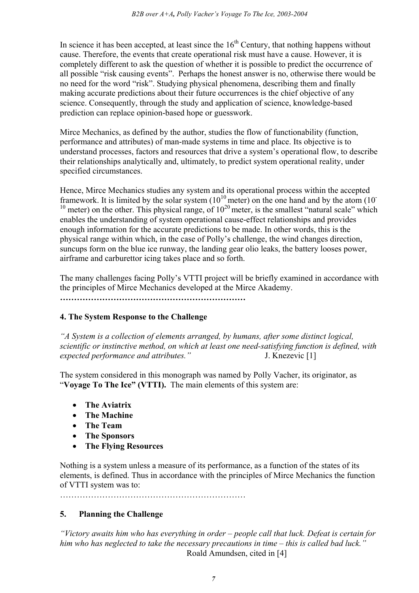In science it has been accepted, at least since the  $16<sup>th</sup>$  Century, that nothing happens without cause. Therefore, the events that create operational risk must have a cause. However, it is completely different to ask the question of whether it is possible to predict the occurrence of all possible "risk causing events". Perhaps the honest answer is no, otherwise there would be no need for the word "risk". Studying physical phenomena, describing them and finally making accurate predictions about their future occurrences is the chief objective of any science. Consequently, through the study and application of science, knowledge-based prediction can replace opinion-based hope or guesswork.

Mirce Mechanics, as defined by the author, studies the flow of functionability (function, performance and attributes) of man-made systems in time and place. Its objective is to understand processes, factors and resources that drive a system's operational flow, to describe their relationships analytically and, ultimately, to predict system operational reality, under specified circumstances.

Hence, Mirce Mechanics studies any system and its operational process within the accepted framework. It is limited by the solar system  $(10^{10} \text{ meter})$  on the one hand and by the atom  $(10^{-10} \text{ meter})$ <sup>10</sup> meter) on the other. This physical range, of  $10^{20}$  meter, is the smallest "natural scale" which enables the understanding of system operational cause-effect relationships and provides enough information for the accurate predictions to be made. In other words, this is the physical range within which, in the case of Polly's challenge, the wind changes direction, suncups form on the blue ice runway, the landing gear olio leaks, the battery looses power, airframe and carburettor icing takes place and so forth.

The many challenges facing Polly's VTTI project will be briefly examined in accordance with the principles of Mirce Mechanics developed at the Mirce Akademy.

**…………………………………………………………** 

# **4. The System Response to the Challenge**

*"A System is a collection of elements arranged, by humans, after some distinct logical, scientific or instinctive method, on which at least one need-satisfying function is defined, with expected performance and attributes."* J. Knezevic [1]

The system considered in this monograph was named by Polly Vacher, its originator, as "**Voyage To The Ice" (VTTI).** The main elements of this system are:

- **The Aviatrix**
- **The Machine**
- **The Team**
- **The Sponsors**
- **The Flying Resources**

Nothing is a system unless a measure of its performance, as a function of the states of its elements, is defined. Thus in accordance with the principles of Mirce Mechanics the function of VTTI system was to:

…………………………………………………………

# **5. Planning the Challenge**

*"Victory awaits him who has everything in order – people call that luck. Defeat is certain for him who has neglected to take the necessary precautions in time – this is called bad luck."*  Roald Amundsen, cited in [4]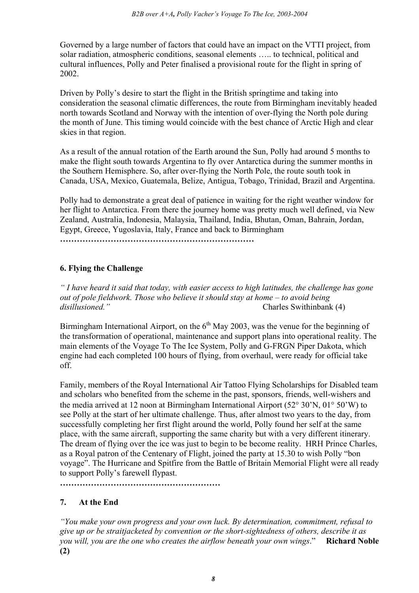Governed by a large number of factors that could have an impact on the VTTI project, from solar radiation, atmospheric conditions, seasonal elements ….. to technical, political and cultural influences, Polly and Peter finalised a provisional route for the flight in spring of 2002.

Driven by Polly's desire to start the flight in the British springtime and taking into consideration the seasonal climatic differences, the route from Birmingham inevitably headed north towards Scotland and Norway with the intention of over-flying the North pole during the month of June. This timing would coincide with the best chance of Arctic High and clear skies in that region.

As a result of the annual rotation of the Earth around the Sun, Polly had around 5 months to make the flight south towards Argentina to fly over Antarctica during the summer months in the Southern Hemisphere. So, after over-flying the North Pole, the route south took in Canada, USA, Mexico, Guatemala, Belize, Antigua, Tobago, Trinidad, Brazil and Argentina.

Polly had to demonstrate a great deal of patience in waiting for the right weather window for her flight to Antarctica. From there the journey home was pretty much well defined, via New Zealand, Australia, Indonesia, Malaysia, Thailand, India, Bhutan, Oman, Bahrain, Jordan, Egypt, Greece, Yugoslavia, Italy, France and back to Birmingham

*……………………………………………………………* 

# **6. Flying the Challenge**

*" I have heard it said that today, with easier access to high latitudes, the challenge has gone out of pole fieldwork. Those who believe it should stay at home – to avoid being disillusioned."* Charles Swithinbank (4)

Birmingham International Airport, on the  $6<sup>th</sup>$  May 2003, was the venue for the beginning of the transformation of operational, maintenance and support plans into operational reality. The main elements of the Voyage To The Ice System, Polly and G-FRGN Piper Dakota, which engine had each completed 100 hours of flying, from overhaul, were ready for official take off.

Family, members of the Royal International Air Tattoo Flying Scholarships for Disabled team and scholars who benefited from the scheme in the past, sponsors, friends, well-wishers and the media arrived at 12 noon at Birmingham International Airport (52° 30'N, 01° 50'W) to see Polly at the start of her ultimate challenge. Thus, after almost two years to the day, from successfully completing her first flight around the world, Polly found her self at the same place, with the same aircraft, supporting the same charity but with a very different itinerary. The dream of flying over the ice was just to begin to be become reality. HRH Prince Charles, as a Royal patron of the Centenary of Flight, joined the party at 15.30 to wish Polly "bon voyage". The Hurricane and Spitfire from the Battle of Britain Memorial Flight were all ready to support Polly's farewell flypast.

**…………………………………………………** 

# **7. At the End**

*"You make your own progress and your own luck. By determination, commitment, refusal to give up or be straitjacketed by convention or the short-sightedness of others, describe it as you will, you are the one who creates the airflow beneath your own wings*." **Richard Noble (2)**